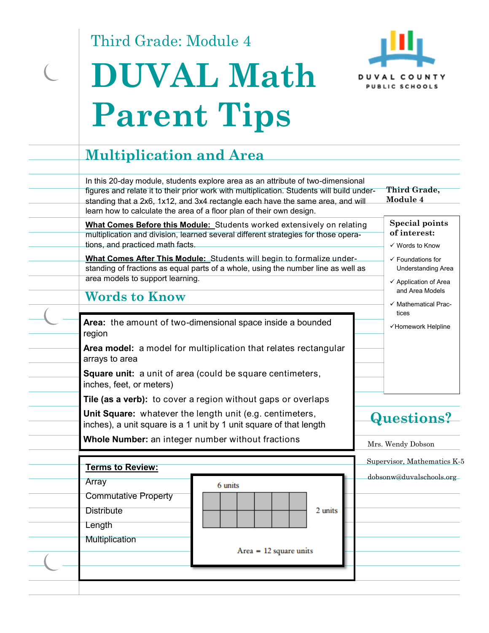Third Grade: Module 4





### **Multiplication and Area**  In this 20-day module, students explore area as an attribute of two-dimensional **Third Grade,**  figures and relate it to their prior work with multiplication. Students will build under-**Module 4**  standing that a 2x6, 1x12, and 3x4 rectangle each have the same area, and will learn how to calculate the area of a floor plan of their own design. **Special points What Comes Before this Module:** Students worked extensively on relating **of interest:**  multiplication and division, learned several different strategies for those operations, and practiced math facts. Words to Know **What Comes After This Module:** Students will begin to formalize under- $\checkmark$  Foundations for standing of fractions as equal parts of a whole, using the number line as well as Understanding Area area models to support learning.  $\checkmark$  Application of Area and Area Models **Words to Know**   $\checkmark$  Mathematical Practices Area: the amount of two-dimensional space inside a bounded video vertical verticle and verticle and verticle region **Area model:** a model for multiplication that relates rectangular arrays to area **Square unit:** a unit of area (could be square centimeters, inches, feet, or meters) **Tile (as a verb):** to cover a region without gaps or overlaps **Unit Square:** whatever the length unit (e.g. centimeters, **Questions?**  inches), a unit square is a 1 unit by 1 unit square of that length **Whole Number:** an integer number without fractions Mrs. Wendy Dobson Supervisor, Mathematics K-5 **Terms to Review:**  dobsonw@duvalschools.org Array 6 units Commutative Property **Distribute** 2 units Length **Multiplication**  $Area = 12 square units$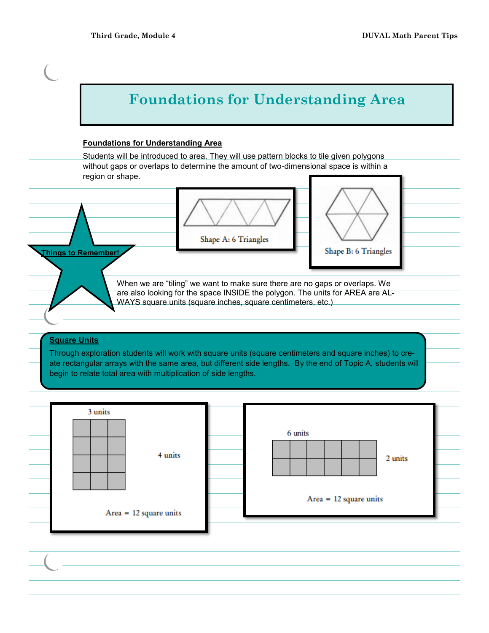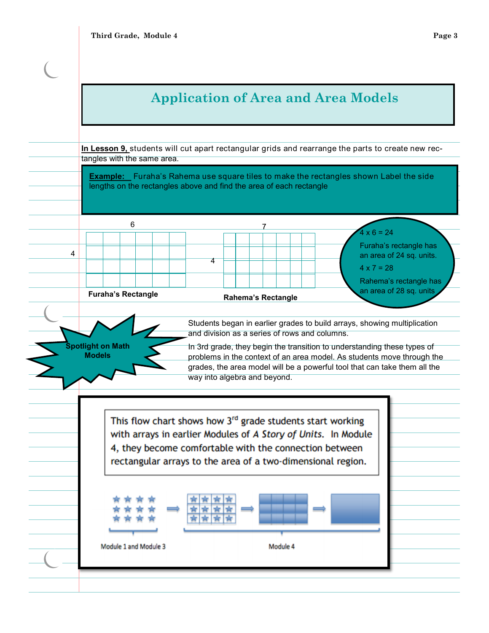# **Application of Area and Area Models**